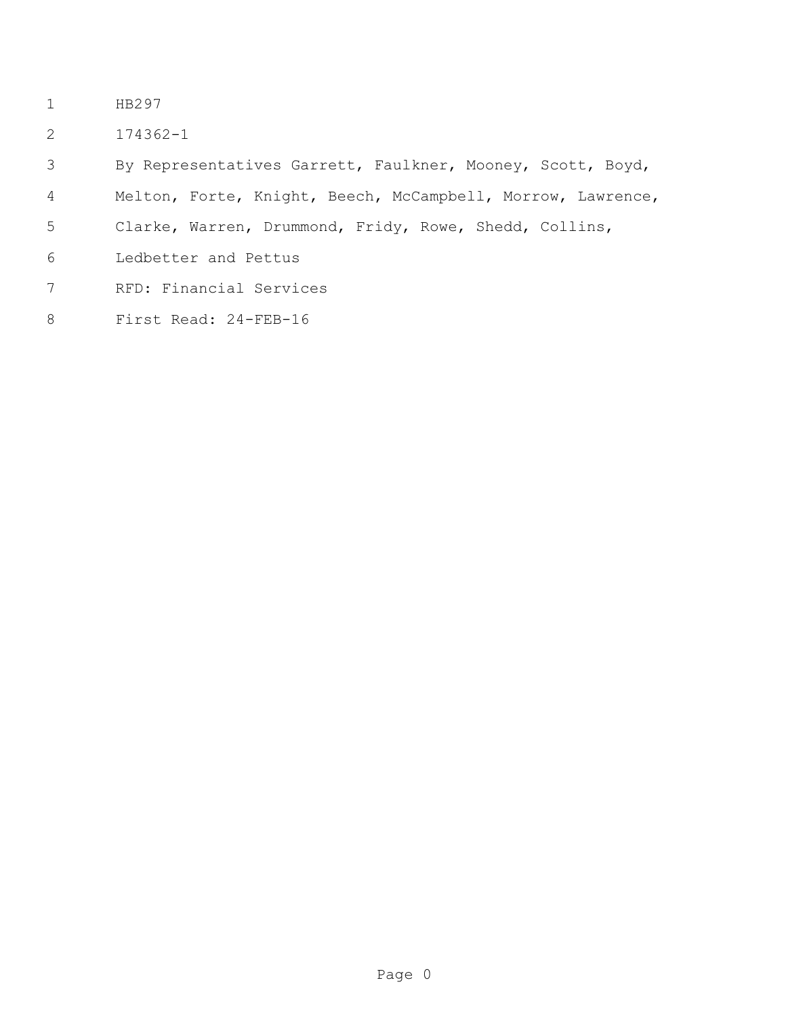- HB297
- 174362-1

By Representatives Garrett, Faulkner, Mooney, Scott, Boyd,

- Melton, Forte, Knight, Beech, McCampbell, Morrow, Lawrence,
- Clarke, Warren, Drummond, Fridy, Rowe, Shedd, Collins,
- Ledbetter and Pettus
- RFD: Financial Services
- First Read: 24-FEB-16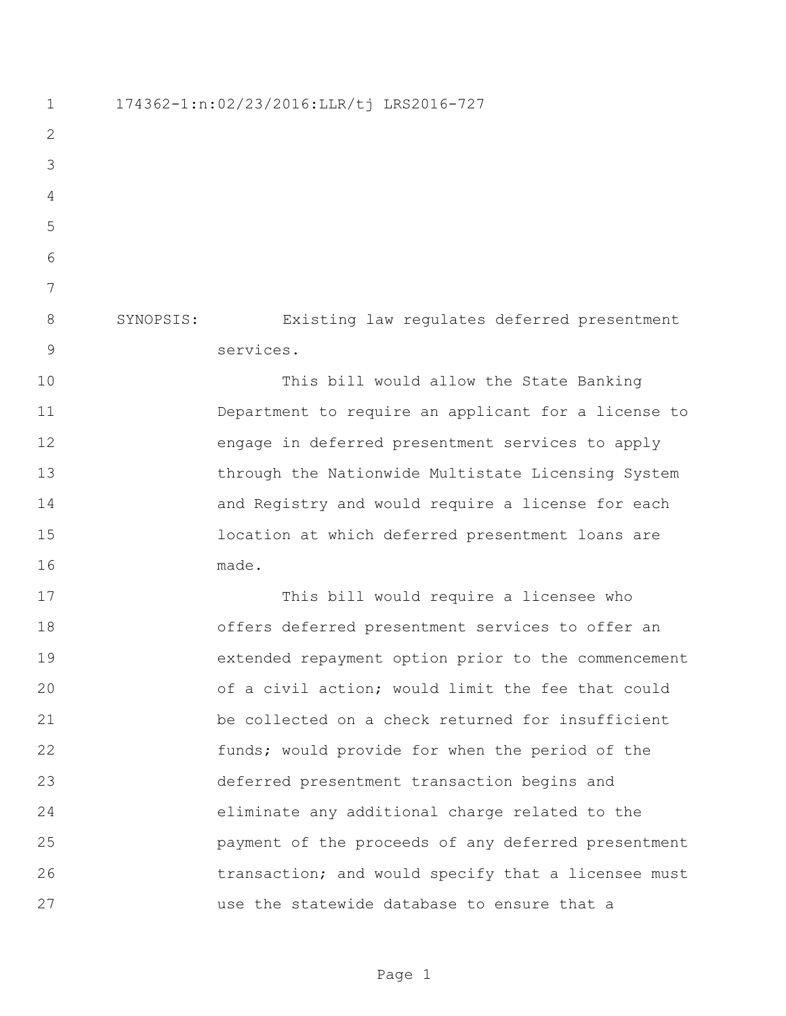174362-1:n:02/23/2016:LLR/tj LRS2016-727 SYNOPSIS: Existing law regulates deferred presentment services. This bill would allow the State Banking Department to require an applicant for a license to engage in deferred presentment services to apply through the Nationwide Multistate Licensing System and Registry and would require a license for each location at which deferred presentment loans are made. This bill would require a licensee who offers deferred presentment services to offer an extended repayment option prior to the commencement of a civil action; would limit the fee that could be collected on a check returned for insufficient funds; would provide for when the period of the deferred presentment transaction begins and eliminate any additional charge related to the payment of the proceeds of any deferred presentment 26 transaction; and would specify that a licensee must use the statewide database to ensure that a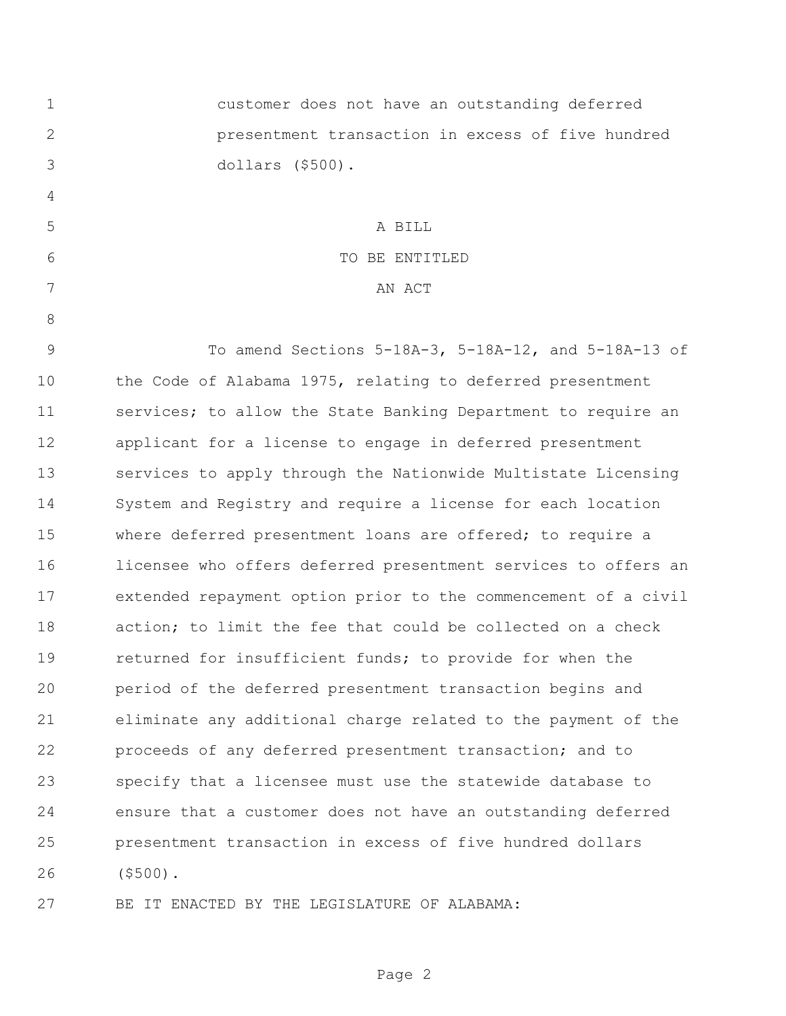| $\mathbf 1$    | customer does not have an outstanding deferred                 |
|----------------|----------------------------------------------------------------|
| $\overline{2}$ | presentment transaction in excess of five hundred              |
| 3              | dollars (\$500).                                               |
| 4              |                                                                |
| 5              | A BILL                                                         |
| 6              | TO BE ENTITLED                                                 |
| 7              | AN ACT                                                         |
| 8              |                                                                |
| $\mathsf 9$    | To amend Sections 5-18A-3, 5-18A-12, and 5-18A-13 of           |
| 10             | the Code of Alabama 1975, relating to deferred presentment     |
| 11             | services; to allow the State Banking Department to require an  |
| 12             | applicant for a license to engage in deferred presentment      |
| 13             | services to apply through the Nationwide Multistate Licensing  |
| 14             | System and Registry and require a license for each location    |
| 15             | where deferred presentment loans are offered; to require a     |
| 16             | licensee who offers deferred presentment services to offers an |
| 17             | extended repayment option prior to the commencement of a civil |
| 18             | action; to limit the fee that could be collected on a check    |
| 19             | returned for insufficient funds; to provide for when the       |
| 20             | period of the deferred presentment transaction begins and      |
| 21             | eliminate any additional charge related to the payment of the  |
| 22             | proceeds of any deferred presentment transaction; and to       |
| 23             | specify that a licensee must use the statewide database to     |
| 24             | ensure that a customer does not have an outstanding deferred   |
| 25             | presentment transaction in excess of five hundred dollars      |
| 26             | $($ \$500).                                                    |
| 27             | BE IT ENACTED BY THE LEGISLATURE OF ALABAMA:                   |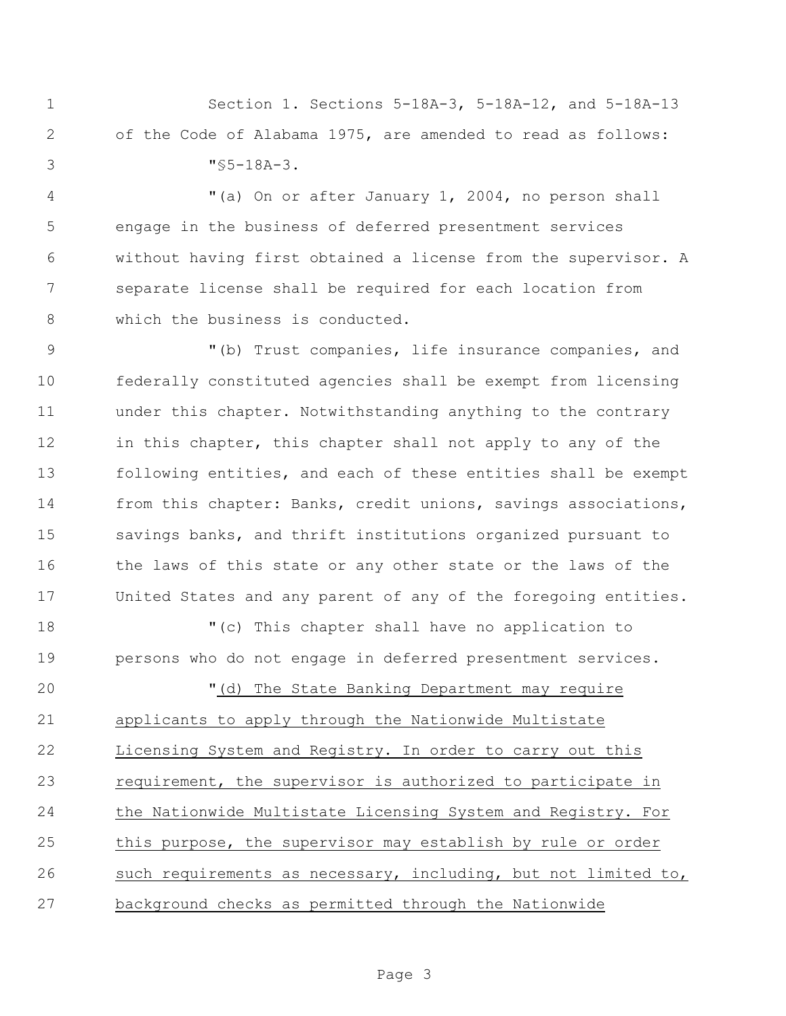Section 1. Sections 5-18A-3, 5-18A-12, and 5-18A-13 of the Code of Alabama 1975, are amended to read as follows: "§5-18A-3.

 "(a) On or after January 1, 2004, no person shall engage in the business of deferred presentment services without having first obtained a license from the supervisor. A separate license shall be required for each location from 8 which the business is conducted.

9 "(b) Trust companies, life insurance companies, and federally constituted agencies shall be exempt from licensing under this chapter. Notwithstanding anything to the contrary 12 in this chapter, this chapter shall not apply to any of the following entities, and each of these entities shall be exempt from this chapter: Banks, credit unions, savings associations, savings banks, and thrift institutions organized pursuant to the laws of this state or any other state or the laws of the United States and any parent of any of the foregoing entities.

 "(c) This chapter shall have no application to persons who do not engage in deferred presentment services.

 "(d) The State Banking Department may require applicants to apply through the Nationwide Multistate Licensing System and Registry. In order to carry out this requirement, the supervisor is authorized to participate in the Nationwide Multistate Licensing System and Registry. For this purpose, the supervisor may establish by rule or order such requirements as necessary, including, but not limited to, background checks as permitted through the Nationwide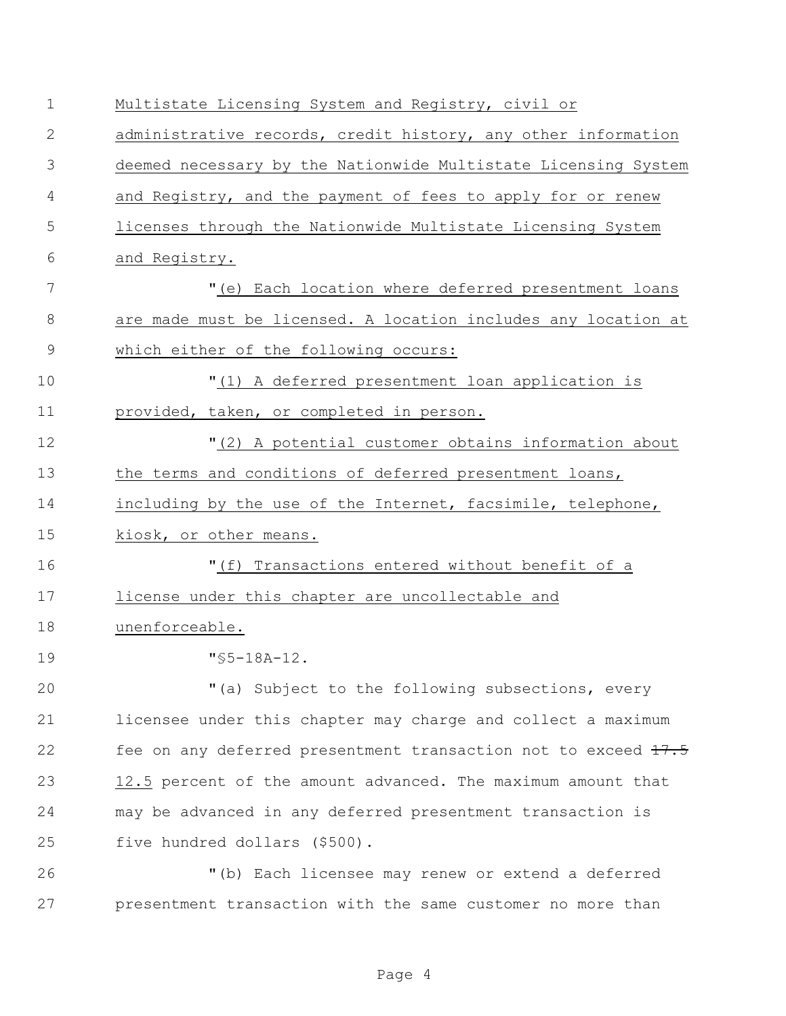| $\mathbf 1$  | Multistate Licensing System and Registry, civil or             |
|--------------|----------------------------------------------------------------|
| $\mathbf{2}$ | administrative records, credit history, any other information  |
| 3            | deemed necessary by the Nationwide Multistate Licensing System |
| 4            | and Registry, and the payment of fees to apply for or renew    |
| 5            | licenses through the Nationwide Multistate Licensing System    |
| 6            | and Registry.                                                  |
| 7            | "(e) Each location where deferred presentment loans            |
| 8            | are made must be licensed. A location includes any location at |
| 9            | which either of the following occurs:                          |
| 10           | "(1) A deferred presentment loan application is                |
| 11           | provided, taken, or completed in person.                       |
| 12           | "(2) A potential customer obtains information about            |
| 13           | the terms and conditions of deferred presentment loans,        |
| 14           | including by the use of the Internet, facsimile, telephone,    |
| 15           | kiosk, or other means.                                         |
| 16           | "(f) Transactions entered without benefit of a                 |
| 17           | license under this chapter are uncollectable and               |
| 18           | unenforceable.                                                 |
| 19           | $"$ \$5-18A-12.                                                |
| 20           | "(a) Subject to the following subsections, every               |
| 21           | licensee under this chapter may charge and collect a maximum   |
| 22           | fee on any deferred presentment transaction not to exceed 17.5 |
| 23           | 12.5 percent of the amount advanced. The maximum amount that   |
| 24           | may be advanced in any deferred presentment transaction is     |
| 25           | five hundred dollars (\$500).                                  |
| 26           | "(b) Each licensee may renew or extend a deferred              |
| 27           | presentment transaction with the same customer no more than    |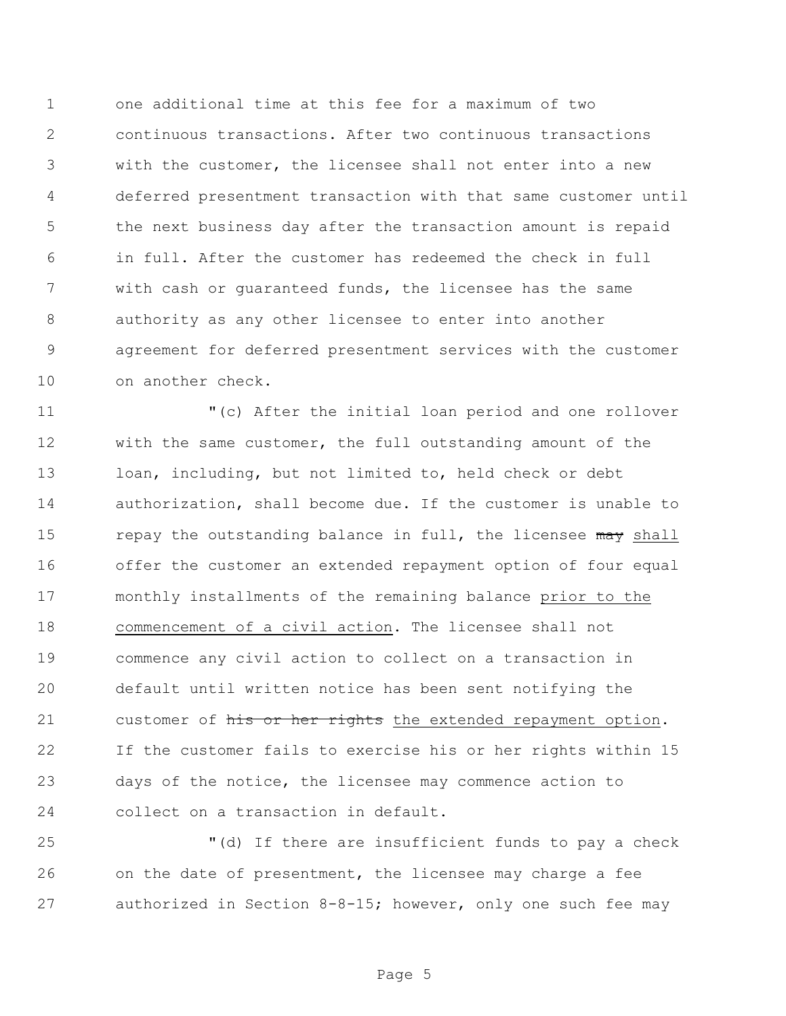one additional time at this fee for a maximum of two continuous transactions. After two continuous transactions with the customer, the licensee shall not enter into a new deferred presentment transaction with that same customer until the next business day after the transaction amount is repaid in full. After the customer has redeemed the check in full with cash or guaranteed funds, the licensee has the same authority as any other licensee to enter into another agreement for deferred presentment services with the customer on another check.

 "(c) After the initial loan period and one rollover with the same customer, the full outstanding amount of the loan, including, but not limited to, held check or debt authorization, shall become due. If the customer is unable to 15 repay the outstanding balance in full, the licensee may shall offer the customer an extended repayment option of four equal monthly installments of the remaining balance prior to the commencement of a civil action. The licensee shall not commence any civil action to collect on a transaction in default until written notice has been sent notifying the 21 customer of his or her rights the extended repayment option. If the customer fails to exercise his or her rights within 15 days of the notice, the licensee may commence action to collect on a transaction in default.

 "(d) If there are insufficient funds to pay a check on the date of presentment, the licensee may charge a fee authorized in Section 8-8-15; however, only one such fee may

Page 5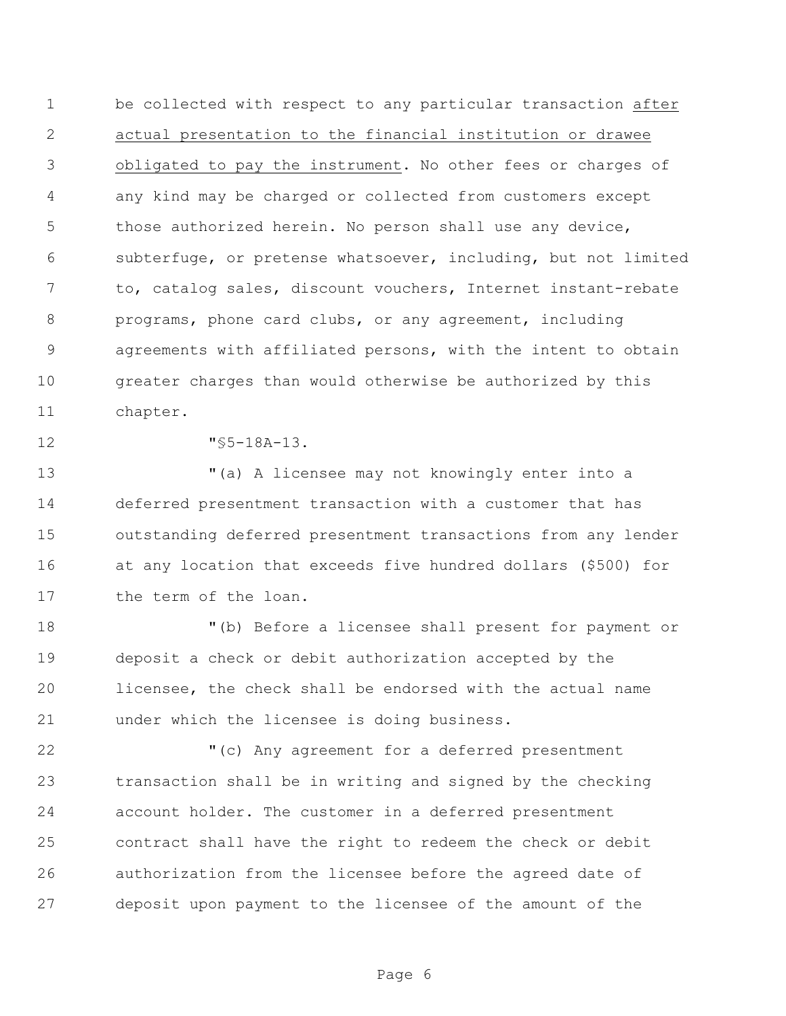be collected with respect to any particular transaction after actual presentation to the financial institution or drawee obligated to pay the instrument. No other fees or charges of any kind may be charged or collected from customers except 5 those authorized herein. No person shall use any device, subterfuge, or pretense whatsoever, including, but not limited to, catalog sales, discount vouchers, Internet instant-rebate programs, phone card clubs, or any agreement, including agreements with affiliated persons, with the intent to obtain greater charges than would otherwise be authorized by this chapter.

"§5-18A-13.

 "(a) A licensee may not knowingly enter into a deferred presentment transaction with a customer that has outstanding deferred presentment transactions from any lender at any location that exceeds five hundred dollars (\$500) for 17 the term of the loan.

 "(b) Before a licensee shall present for payment or deposit a check or debit authorization accepted by the licensee, the check shall be endorsed with the actual name under which the licensee is doing business.

 "(c) Any agreement for a deferred presentment transaction shall be in writing and signed by the checking account holder. The customer in a deferred presentment contract shall have the right to redeem the check or debit authorization from the licensee before the agreed date of deposit upon payment to the licensee of the amount of the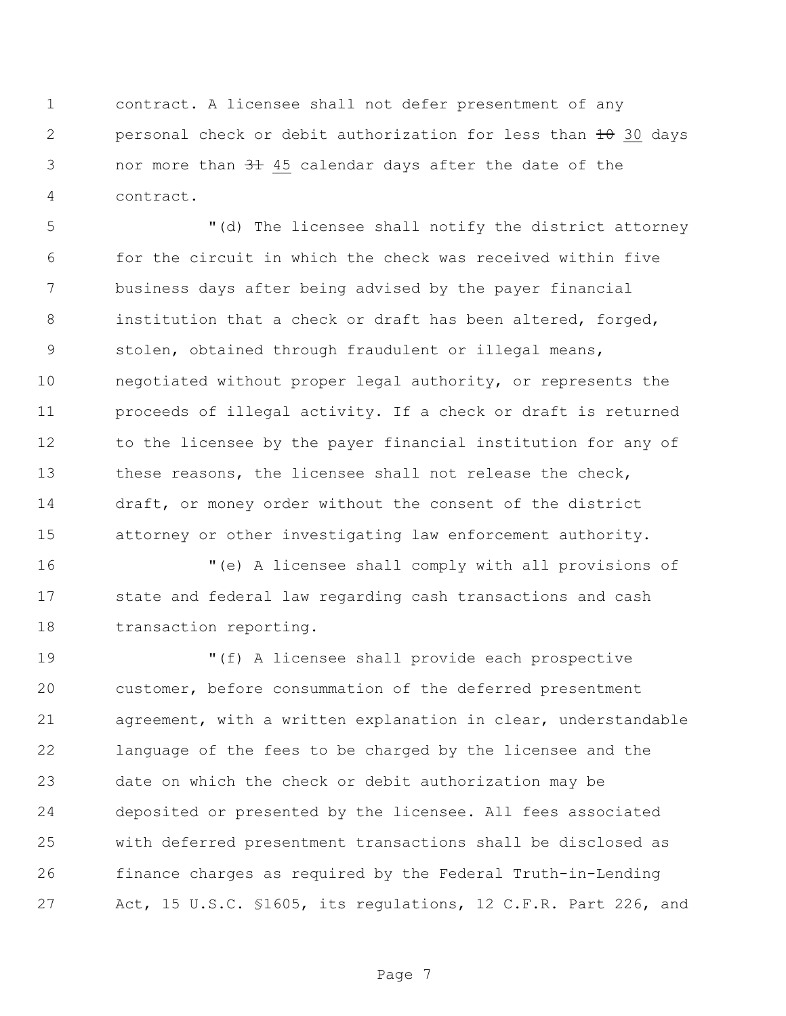contract. A licensee shall not defer presentment of any 2 personal check or debit authorization for less than  $\pm\theta$  30 days 3 nor more than  $3\pm 45$  calendar days after the date of the contract.

 "(d) The licensee shall notify the district attorney for the circuit in which the check was received within five business days after being advised by the payer financial institution that a check or draft has been altered, forged, stolen, obtained through fraudulent or illegal means, negotiated without proper legal authority, or represents the proceeds of illegal activity. If a check or draft is returned 12 to the licensee by the payer financial institution for any of these reasons, the licensee shall not release the check, draft, or money order without the consent of the district attorney or other investigating law enforcement authority.

 "(e) A licensee shall comply with all provisions of state and federal law regarding cash transactions and cash transaction reporting.

 "(f) A licensee shall provide each prospective customer, before consummation of the deferred presentment agreement, with a written explanation in clear, understandable language of the fees to be charged by the licensee and the date on which the check or debit authorization may be deposited or presented by the licensee. All fees associated with deferred presentment transactions shall be disclosed as finance charges as required by the Federal Truth-in-Lending Act, 15 U.S.C. §1605, its regulations, 12 C.F.R. Part 226, and

Page 7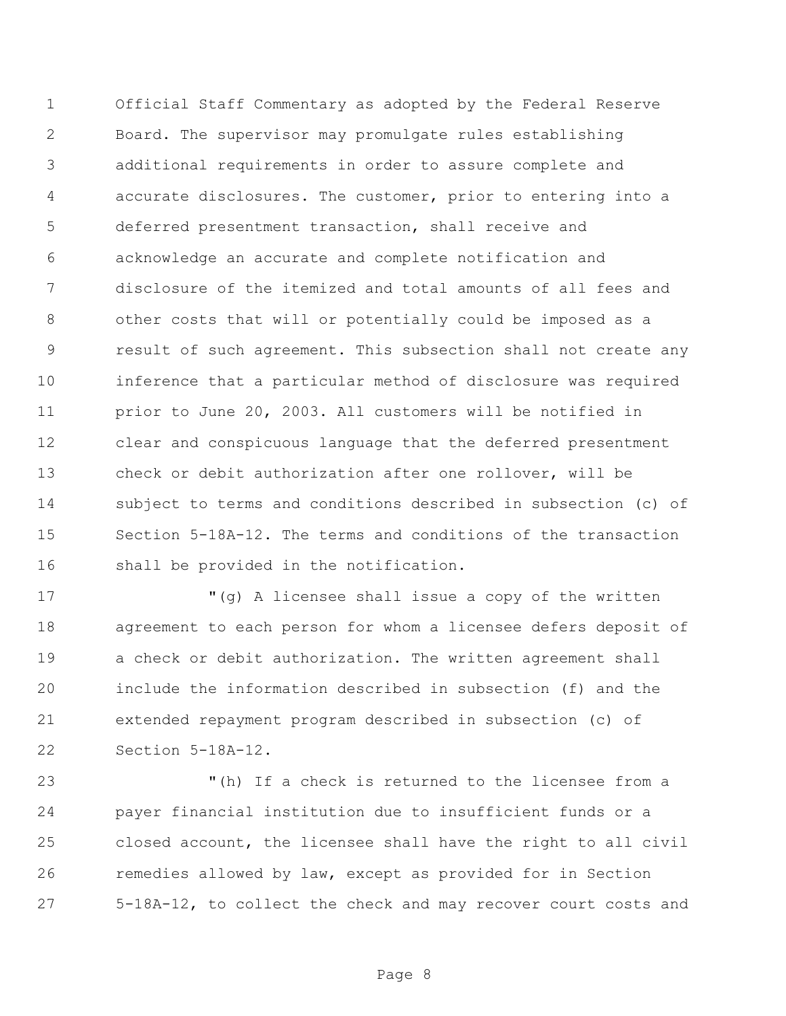Official Staff Commentary as adopted by the Federal Reserve Board. The supervisor may promulgate rules establishing additional requirements in order to assure complete and accurate disclosures. The customer, prior to entering into a deferred presentment transaction, shall receive and acknowledge an accurate and complete notification and disclosure of the itemized and total amounts of all fees and other costs that will or potentially could be imposed as a result of such agreement. This subsection shall not create any inference that a particular method of disclosure was required prior to June 20, 2003. All customers will be notified in clear and conspicuous language that the deferred presentment check or debit authorization after one rollover, will be subject to terms and conditions described in subsection (c) of Section 5-18A-12. The terms and conditions of the transaction shall be provided in the notification.

 "(g) A licensee shall issue a copy of the written agreement to each person for whom a licensee defers deposit of 19 a check or debit authorization. The written agreement shall include the information described in subsection (f) and the extended repayment program described in subsection (c) of Section 5-18A-12.

 "(h) If a check is returned to the licensee from a payer financial institution due to insufficient funds or a closed account, the licensee shall have the right to all civil remedies allowed by law, except as provided for in Section 5-18A-12, to collect the check and may recover court costs and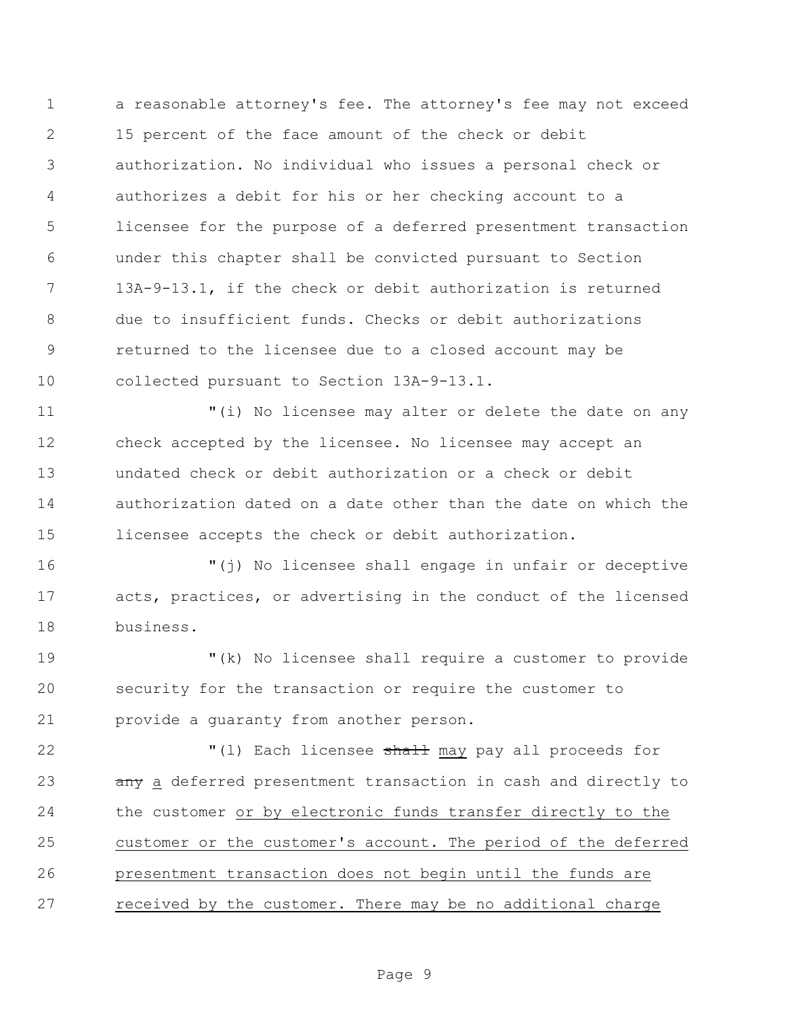a reasonable attorney's fee. The attorney's fee may not exceed 15 percent of the face amount of the check or debit authorization. No individual who issues a personal check or authorizes a debit for his or her checking account to a licensee for the purpose of a deferred presentment transaction under this chapter shall be convicted pursuant to Section 13A-9-13.1, if the check or debit authorization is returned due to insufficient funds. Checks or debit authorizations returned to the licensee due to a closed account may be collected pursuant to Section 13A-9-13.1.

 "(i) No licensee may alter or delete the date on any check accepted by the licensee. No licensee may accept an undated check or debit authorization or a check or debit authorization dated on a date other than the date on which the licensee accepts the check or debit authorization.

 "(j) No licensee shall engage in unfair or deceptive acts, practices, or advertising in the conduct of the licensed business.

 "(k) No licensee shall require a customer to provide security for the transaction or require the customer to provide a guaranty from another person.

22 T(1) Each licensee shall may pay all proceeds for 23 any a deferred presentment transaction in cash and directly to the customer or by electronic funds transfer directly to the customer or the customer's account. The period of the deferred presentment transaction does not begin until the funds are received by the customer. There may be no additional charge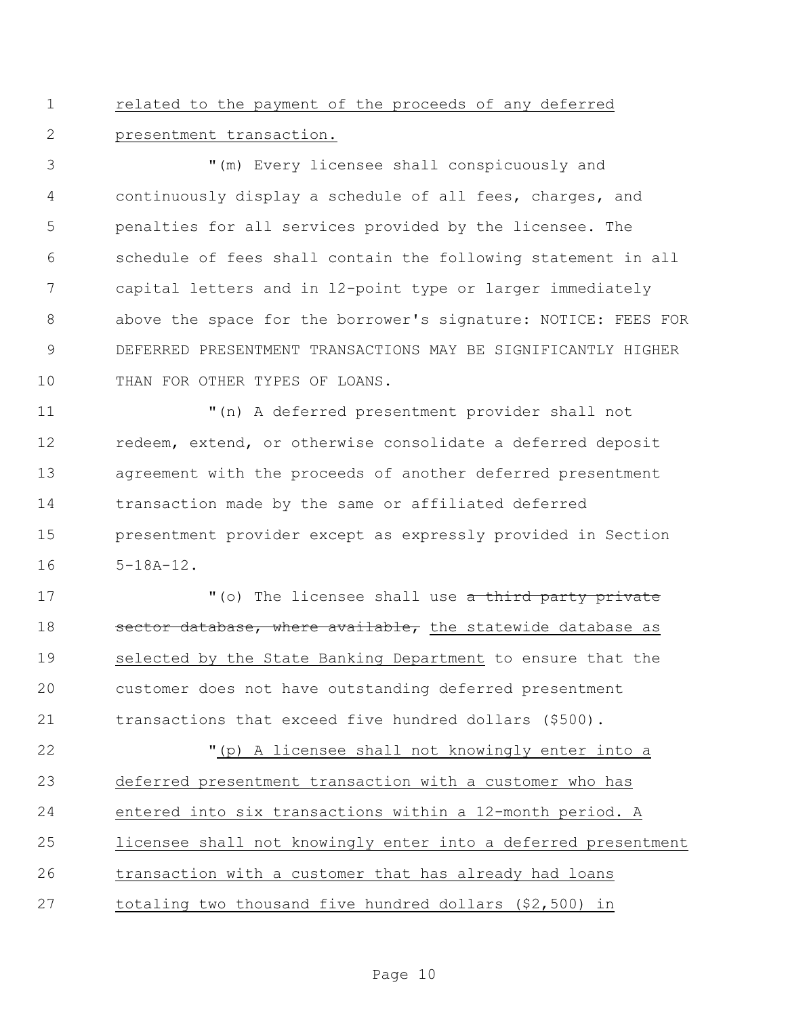related to the payment of the proceeds of any deferred presentment transaction.

 "(m) Every licensee shall conspicuously and continuously display a schedule of all fees, charges, and penalties for all services provided by the licensee. The schedule of fees shall contain the following statement in all capital letters and in l2-point type or larger immediately above the space for the borrower's signature: NOTICE: FEES FOR DEFERRED PRESENTMENT TRANSACTIONS MAY BE SIGNIFICANTLY HIGHER 10 THAN FOR OTHER TYPES OF LOANS.

 "(n) A deferred presentment provider shall not redeem, extend, or otherwise consolidate a deferred deposit agreement with the proceeds of another deferred presentment transaction made by the same or affiliated deferred presentment provider except as expressly provided in Section 5-18A-12.

17 The licensee shall use a third party private 18 sector database, where available, the statewide database as selected by the State Banking Department to ensure that the customer does not have outstanding deferred presentment transactions that exceed five hundred dollars (\$500).

 "(p) A licensee shall not knowingly enter into a deferred presentment transaction with a customer who has entered into six transactions within a 12-month period. A licensee shall not knowingly enter into a deferred presentment transaction with a customer that has already had loans totaling two thousand five hundred dollars (\$2,500) in